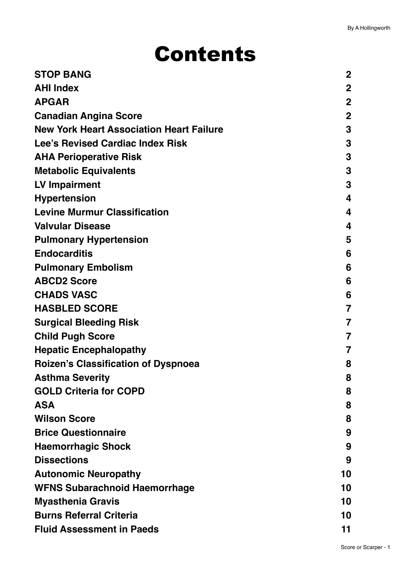# Contents

| <b>STOP BANG</b>                                | $\mathbf 2$  |
|-------------------------------------------------|--------------|
| <b>AHI Index</b>                                | $\mathbf 2$  |
| <b>APGAR</b>                                    | $\mathbf{2}$ |
| <b>Canadian Angina Score</b>                    | $\mathbf 2$  |
| <b>New York Heart Association Heart Failure</b> | 3            |
| <b>Lee's Revised Cardiac Index Risk</b>         | 3            |
| <b>AHA Perioperative Risk</b>                   | 3            |
| <b>Metabolic Equivalents</b>                    | 3            |
| <b>LV Impairment</b>                            | 3            |
| <b>Hypertension</b>                             | 4            |
| <b>Levine Murmur Classification</b>             | 4            |
| <b>Valvular Disease</b>                         | 4            |
| <b>Pulmonary Hypertension</b>                   | 5            |
| <b>Endocarditis</b>                             | 6            |
| <b>Pulmonary Embolism</b>                       | 6            |
| <b>ABCD2 Score</b>                              | 6            |
| <b>CHADS VASC</b>                               | 6            |
| <b>HASBLED SCORE</b>                            | 7            |
| <b>Surgical Bleeding Risk</b>                   | 7            |
| <b>Child Pugh Score</b>                         | 7            |
| <b>Hepatic Encephalopathy</b>                   | 7            |
| Roizen's Classification of Dyspnoea             | 8            |
| <b>Asthma Severity</b>                          | ୪            |
| <b>GOLD Criteria for COPD</b>                   | 8            |
| <b>ASA</b>                                      | 8            |
| <b>Wilson Score</b>                             | 8            |
| <b>Brice Questionnaire</b>                      | 9            |
| <b>Haemorrhagic Shock</b>                       | 9            |
| <b>Dissections</b>                              | 9            |
| <b>Autonomic Neuropathy</b>                     | 10           |
| <b>WFNS Subarachnoid Haemorrhage</b>            | 10           |
| <b>Myasthenia Gravis</b>                        | 10           |
| <b>Burns Referral Criteria</b>                  | 10           |
| <b>Fluid Assessment in Paeds</b>                | 11           |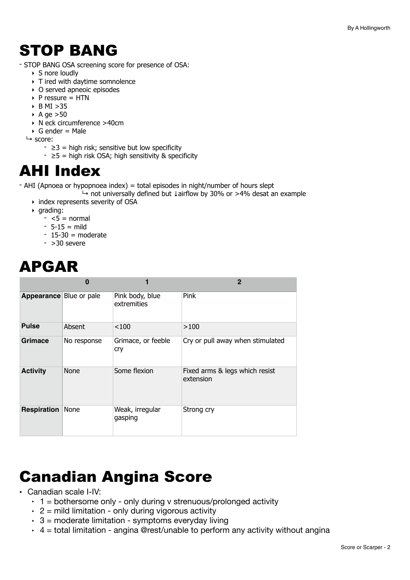## <span id="page-1-0"></span>STOP BANG

- STOP BANG OSA screening score for presence of OSA:
	- $\triangleright$  S nore loudly
	- ‣ T ired with daytime somnolence
	- ‣ O served apneoic episodes
	- $\triangleright$  P ressure = HTN
	- $\triangleright$  B MI  $>35$
	- $\rightarrow$  A ge  $>50$
	- ‣ N eck circumference >40cm
	- $\triangleright$  G ender = Male
	- $ightharpoonup$  score:
		- $\geq 3$  = high risk; sensitive but low specificity
		- $\geq 5$  = high risk OSA; high sensitivity & specificity

## <span id="page-1-1"></span>AHI Index

- AHI (Apnoea or hypopnoea index) = total episodes in night/number of hours slept

- ↳ not universally defined but ↓airflow by 30% or >4% desat an example
- ‣ index represents severity of OSA
- ‣ grading:
	- $< 5 =$  normal
	- $-5-15 =$  mild
	- $-15-30$  = moderate
	- $-$  >30 severe

# <span id="page-1-2"></span>APGAR

|                         | O           |                                | $\mathbf 2$                                 |
|-------------------------|-------------|--------------------------------|---------------------------------------------|
| Appearance Blue or pale |             | Pink body, blue<br>extremities | Pink                                        |
| <b>Pulse</b>            | Absent      | < 100                          | >100                                        |
| Grimace                 | No response | Grimace, or feeble<br>cry      | Cry or pull away when stimulated            |
| <b>Activity</b>         | <b>None</b> | Some flexion                   | Fixed arms & legs which resist<br>extension |
| Respiration             | None        | Weak, irregular<br>gasping     | Strong cry                                  |

# <span id="page-1-3"></span>Canadian Angina Score

- Canadian scale I-IV:
	- $\cdot$  1 = bothersome only only during v strenuous/prolonged activity
	- $\cdot$  2 = mild limitation only during vigorous activity
	- $\cdot$  3 = moderate limitation symptoms everyday living
	- $\cdot$  4 = total limitation angina @rest/unable to perform any activity without angina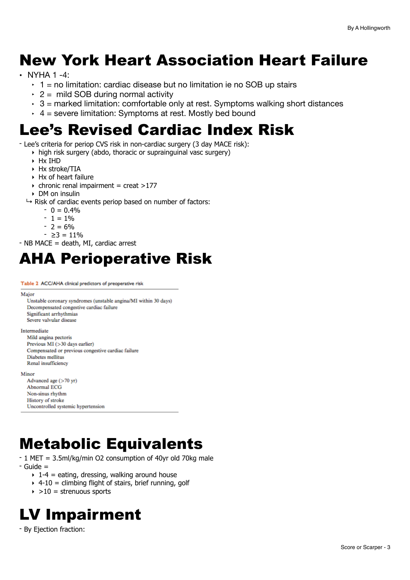# <span id="page-2-0"></span>New York Heart Association Heart Failure

- NYHA 1 -4:
	- $\cdot$  1 = no limitation: cardiac disease but no limitation ie no SOB up stairs
	- $\cdot$  2 = mild SOB during normal activity
	- $\cdot$  3 = marked limitation: comfortable only at rest. Symptoms walking short distances
	- $\cdot$  4 = severe limitation: Symptoms at rest. Mostly bed bound

## <span id="page-2-1"></span>Lee's Revised Cardiac Index Risk

- Lee's criteria for periop CVS risk in non-cardiac surgery (3 day MACE risk):

- ‣ high risk surgery (abdo, thoracic or suprainguinal vasc surgery)
	- ‣ Hx IHD
	- ‣ Hx stroke/TIA
	- ‣ Hx of heart failure
	- $\triangleright$  chronic renal impairment = creat >177
- ‣ DM on insulin
- $\rightarrow$  Risk of cardiac events periop based on number of factors:
	- $0 = 0.4\%$ 
		- $1 = 1\%$
		- $2 = 6\%$
		- ≥3 = 11%

- NB MACE = death, MI, cardiac arrest

## <span id="page-2-2"></span>AHA Perioperative Risk

Table 2 ACC/AHA clinical predictors of preoperative risk

#### Major

Unstable coronary syndromes (unstable angina/MI within 30 days) Decompensated congestive cardiac failure Significant arrhythmias Severe valvular disease

#### Intermediate

Mild angina pectoris Previous MI (>30 days earlier) Compensated or previous congestive cardiac failure Diabetes mellitus Renal insufficiency

#### Minor

Advanced age (>70 yr) **Abnormal ECG** Non-sinus rhythm History of stroke Uncontrolled systemic hypertension

## <span id="page-2-3"></span>Metabolic Equivalents

- 1 MET = 3.5ml/kg/min O2 consumption of 40yr old 70kg male
- Guide =
	- $\rightarrow$  1-4 = eating, dressing, walking around house
	- $\rightarrow$  4-10 = climbing flight of stairs, brief running, golf
	- $\rightarrow$  >10 = strenuous sports

# <span id="page-2-4"></span>LV Impairment

- By Ejection fraction: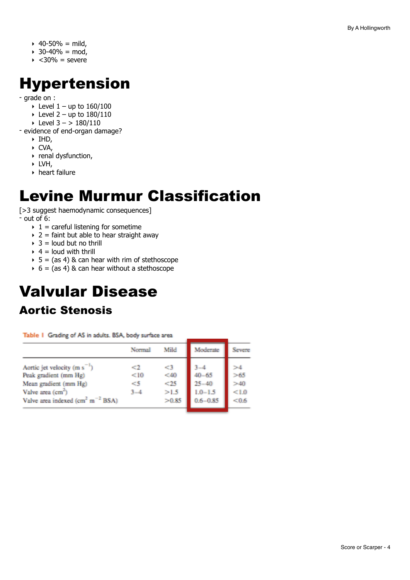- $\rightarrow$  40-50% = mild,
- $\rightarrow$  30-40% = mod,
- $\rightarrow$  <30% = severe

# <span id="page-3-0"></span>Hypertension

- grade on :

- $\blacktriangleright$  Level 1 up to 160/100
- $\blacktriangleright$  Level 2 up to 180/110
- $\triangleright$  Level 3 > 180/110

- evidence of end-organ damage?

- ‣ IHD,
- ‣ CVA,
- ‣ renal dysfunction,
- $\triangleright$  LVH,
- ‣ heart failure

# <span id="page-3-1"></span>Levine Murmur Classification

[>3 suggest haemodynamic consequences] - out of 6:

- $\rightarrow$  1 = careful listening for sometime
- $\rightarrow$  2 = faint but able to hear straight away
- $\rightarrow$  3 = loud but no thrill
- $\rightarrow$  4 = loud with thrill
- $\rightarrow$  5 = (as 4) & can hear with rim of stethoscope
- $6 = (as 4)$  & can hear without a stethoscope

# <span id="page-3-2"></span>Valvular Disease

### Aortic Stenosis

Table 1 Grading of AS in adults. BSA, body surface area

|                                                                       | Normal    | Mild      | Moderate     | Severe    |
|-----------------------------------------------------------------------|-----------|-----------|--------------|-----------|
| Aortic jet velocity (m s <sup>-1</sup> )<br>Peak gradient (mm Hg)     | -2<br><10 | <3<br><40 | $40 - 65$    | >4<br>>65 |
| Mean gradient (mm Hg)                                                 | - 5       | < 25      | $25 - 40$    | >40       |
| Valve area (cm <sup>2</sup> )                                         | $3 - 4$   | >1.5      | $1.0 - 1.5$  | <1.0      |
| Valve area indexed (cm <sup>2</sup> m <sup><math>-2</math></sup> BSA) |           | >0.85     | $0.6 - 0.85$ | < 0.6     |
|                                                                       |           |           |              |           |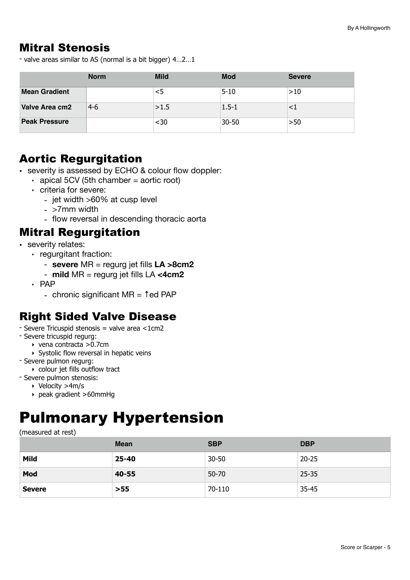### Mitral Stenosis

- valve areas similar to AS (normal is a bit bigger) 4…2…1

|                      | <b>Norm</b> | <b>Mild</b> | <b>Mod</b> | <b>Severe</b> |
|----------------------|-------------|-------------|------------|---------------|
| <b>Mean Gradient</b> |             |             | $5 - 10$   | >10           |
| Valve Area cm2       | $4-6$       | >1.5        | $1.5 - 1$  |               |
| <b>Peak Pressure</b> |             | <30         | 30-50      | >50           |

### Aortic Regurgitation

- severity is assessed by ECHO & colour flow doppler:
	- $\rightarrow$  apical 5CV (5th chamber = aortic root)
	- ‣ criteria for severe:
		- jet width >60% at cusp level
		- >7mm width
		- flow reversal in descending thoracic aorta

### Mitral Regurgitation

- severity relates:
	- ‣ regurgitant fraction:
		- **severe** MR = regurg jet fills **LA >8cm2**
		- **mild** MR = regurg jet fills LA **<4cm2**
	- ‣ PAP
		- chronic significant MR = ↑ed PAP

### Right Sided Valve Disease

- Severe Tricuspid stenosis = valve area <1cm2
- Severe tricuspid regurg:
	- ‣ vena contracta >0.7cm
	- ‣ Systolic flow reversal in hepatic veins
- Severe pulmon regurg:
	- ‣ colour jet fills outflow tract
- Severe pulmon stenosis:
	- ‣ Velocity >4m/s
	- ‣ peak gradient >60mmHg

## <span id="page-4-0"></span>Pulmonary Hypertension

(measured at rest)

|               | <b>Mean</b> | <b>SBP</b> | <b>DBP</b> |
|---------------|-------------|------------|------------|
| Mild          | 25-40       | $30 - 50$  | $20 - 25$  |
| Mod           | 40-55       | $50 - 70$  | $25 - 35$  |
| <b>Severe</b> | $>55$       | 70-110     | $35 - 45$  |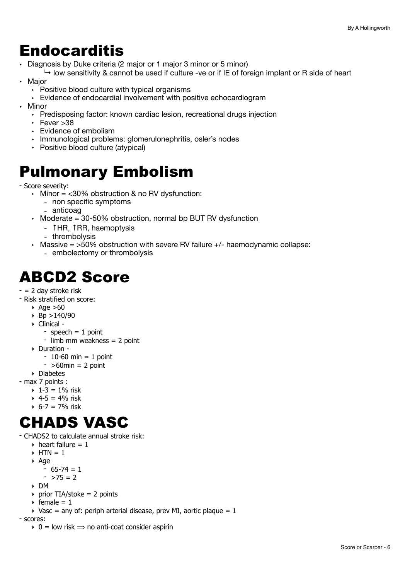### <span id="page-5-0"></span>Endocarditis

• Diagnosis by Duke criteria (2 major or 1 major 3 minor or 5 minor)

 $\rightarrow$  low sensitivity & cannot be used if culture -ve or if IE of foreign implant or R side of heart • Major

- $\cdot$  Positive blood culture with typical organisms
- $\cdot$  Evidence of endocardial involvement with positive echocardiogram
- Minor
	- ‣ Predisposing factor: known cardiac lesion, recreational drugs injection
	- $\cdot$  Fever  $>38$
	- ‣ Evidence of embolism
	- ‣ Immunological problems: glomerulonephritis, osler's nodes
	- ‣ Positive blood culture (atypical)

# <span id="page-5-1"></span>Pulmonary Embolism

- Score severity:

 $\cdot$  Minor = <30% obstruction & no RV dysfunction:

- non specific symptoms
- anticoag
- $\cdot$  Moderate = 30-50% obstruction, normal bp BUT RV dysfunction
	- ↑HR, ↑RR, haemoptysis
	- thrombolysis
- Massive  $=$  >50% obstruction with severe RV failure  $+/-$  haemodynamic collapse:
	- embolectomy or thrombolysis

## <span id="page-5-2"></span>ABCD2 Score

- $= 2$  day stroke risk
- Risk stratified on score:
	- $\triangle$  Age  $>60$
	- $\rightarrow$  Bp >140/90
	- ‣ Clinical
		- speech  $= 1$  point
		- limb mm weakness = 2 point
	- ‣ Duration
		- $-10-60$  min = 1 point
		- $-$  >60min = 2 point
- ‣ Diabetes
- max 7 points :
	- $\rightarrow$  1-3 = 1% risk
	- $+ 4 5 = 4%$  risk
	- $6 7 = 7\%$  risk

# <span id="page-5-3"></span>CHADS VASC

- CHADS2 to calculate annual stroke risk:

- $\rightarrow$  heart failure = 1
- $\triangleright$  HTN = 1
- ‣ Age
	- 65-74 = 1
	- $-$  >75 = 2
- ‣ DM
- $\rightarrow$  prior TIA/stoke = 2 points
- $\rightarrow$  female = 1
- $\rightarrow$  Vasc = any of: periph arterial disease, prev MI, aortic plaque = 1

- scores:

 $\rightarrow$  0 = low risk  $\rightarrow$  no anti-coat consider aspirin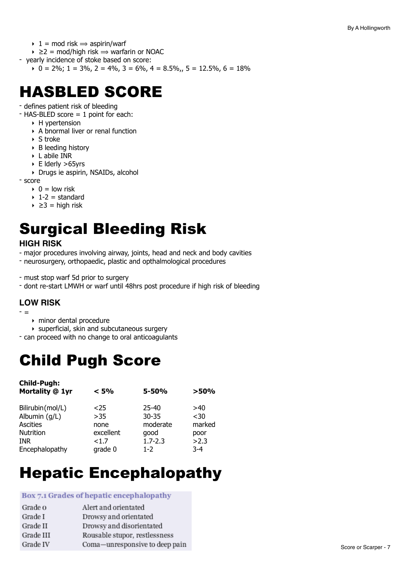- $\rightarrow$  1 = mod risk  $\rightarrow$  aspirin/warf
- $\rightarrow$   $\geq$  2 = mod/high risk  $\Rightarrow$  warfarin or NOAC
- yearly incidence of stoke based on score:
	- $\cdot$  0 = 2%; 1 = 3%, 2 = 4%, 3 = 6%, 4 = 8.5%, 5 = 12.5%, 6 = 18%

# <span id="page-6-0"></span>HASBLED SCORE

- defines patient risk of bleeding

- HAS-BLED score = 1 point for each:
	- ‣ H ypertension
	- ‣ A bnormal liver or renal function
	- $\triangleright$  S troke
	- ‣ B leeding history
	- ‣ L abile INR
	- ‣ E lderly >65yrs
	- ‣ Drugs ie aspirin, NSAIDs, alcohol

- score

- $\rightarrow$  0 = low risk
- $\rightarrow$  1-2 = standard
- $\rightarrow$  ≥3 = high risk

# <span id="page-6-1"></span>Surgical Bleeding Risk

### **HIGH RISK**

- major procedures involving airway, joints, head and neck and body cavities

- neurosurgery, orthopaedic, plastic and opthalmological procedures
- must stop warf 5d prior to surgery
- dont re-start LMWH or warf until 48hrs post procedure if high risk of bleeding

### **LOW RISK**

- =
	- ‣ minor dental procedure
	- ‣ superficial, skin and subcutaneous surgery
- can proceed with no change to oral anticoagulants

# <span id="page-6-2"></span>Child Pugh Score

| <b>Child-Pugh:</b><br>Mortality @ 1yr | < 5%      | $5 - 50%$   | >50%    |
|---------------------------------------|-----------|-------------|---------|
| Bilirubin(mol/L)                      | $25$      | $25 - 40$   | >40     |
| Albumin (g/L)                         | >35       | $30 - 35$   | $30$    |
| Ascities                              | none      | moderate    | marked  |
| <b>Nutrition</b>                      | excellent | qood        | poor    |
| <b>INR</b>                            | <1.7      | $1.7 - 2.3$ | >2.3    |
| Encephalopathy                        | grade 0   | $1 - 2$     | $3 - 4$ |

# <span id="page-6-3"></span>Hepatic Encephalopathy

### Box 7.1 Grades of hepatic encephalopathy

| Grade o   | Alert and orientated           |
|-----------|--------------------------------|
| Grade I   | Drowsy and orientated          |
| Grade II  | Drowsy and disorientated       |
| Grade III | Rousable stupor, restlessness  |
| Grade IV  | Coma-unresponsive to deep pain |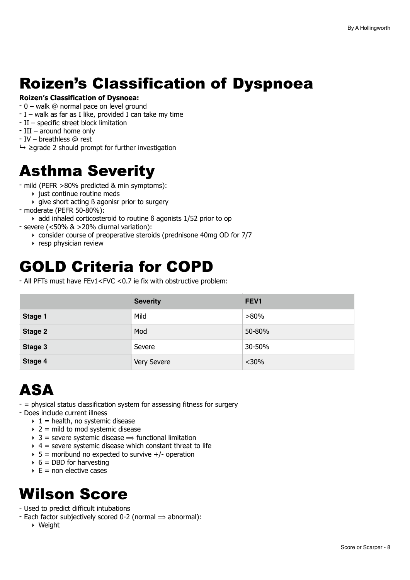# <span id="page-7-0"></span>Roizen's Classification of Dyspnoea

### **Roizen's Classification of Dysnoea:**

- 0 walk @ normal pace on level ground
- $I$  walk as far as I like, provided I can take my time
- II specific street block limitation
- III around home only
- IV breathless @ rest
- $\rightarrow$   $\geq$  grade 2 should prompt for further investigation

## <span id="page-7-1"></span>Asthma Severity

- mild (PEFR >80% predicted & min symptoms):
	- ‣ just continue routine meds
	- $\rightarrow$  give short acting  $\beta$  agonisr prior to surgery
- moderate (PEFR 50-80%):
	- $\rightarrow$  add inhaled corticosteroid to routine  $\beta$  agonists 1/52 prior to op
- severe (<50% & >20% diurnal variation):
	- ‣ consider course of preoperative steroids (prednisone 40mg OD for 7/7
	- ‣ resp physician review

## <span id="page-7-2"></span>GOLD Criteria for COPD

- All PFTs must have FEv1<FVC <0.7 ie fix with obstructive problem:

|         | <b>Severity</b> | FEV <sub>1</sub> |
|---------|-----------------|------------------|
| Stage 1 | Mild            | $>80\%$          |
| Stage 2 | Mod             | 50-80%           |
| Stage 3 | Severe          | 30-50%           |
| Stage 4 | Very Severe     | $<$ 30%          |

# <span id="page-7-3"></span>ASA

- = physical status classification system for assessing fitness for surgery
- Does include current illness
	- $\rightarrow$  1 = health, no systemic disease
	- $\rightarrow$  2 = mild to mod systemic disease
	- $\rightarrow$  3 = severe systemic disease  $\Rightarrow$  functional limitation
	- $\rightarrow$  4 = severe systemic disease which constant threat to life
	- $\rightarrow$  5 = moribund no expected to survive  $+/-$  operation
	- $6 = DBD$  for harvesting
	- $\triangleright$  E = non elective cases

# <span id="page-7-4"></span>Wilson Score

- Used to predict difficult intubations
- Each factor subjectively scored 0-2 (normal  $\Rightarrow$  abnormal):
	- ‣ Weight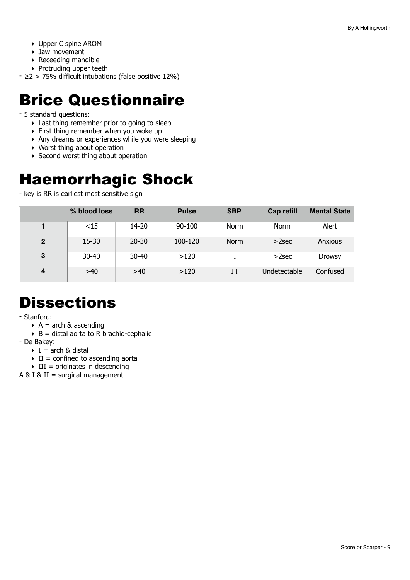- ‣ Upper C spine AROM
- ‣ Jaw movement
- ‣ Receeding mandible
- ‣ Protruding upper teeth

- ≥2 ≈ 75% difficult intubations (false positive 12%)

## <span id="page-8-0"></span>Brice Questionnaire

- 5 standard questions:
	- ‣ Last thing remember prior to going to sleep
	- ‣ First thing remember when you woke up
	- ‣ Any dreams or experiences while you were sleeping
	- ‣ Worst thing about operation
	- ▶ Second worst thing about operation

# <span id="page-8-1"></span>Haemorrhagic Shock

- key is RR is earliest most sensitive sign

|              | % blood loss | <b>RR</b> | <b>Pulse</b> | <b>SBP</b>  | Cap refill   | <b>Mental State</b> |
|--------------|--------------|-----------|--------------|-------------|--------------|---------------------|
|              | $<$ 15       | 14-20     | 90-100       | <b>Norm</b> | Norm         | Alert               |
| $\mathbf{2}$ | 15-30        | $20 - 30$ | 100-120      | <b>Norm</b> | $>2$ sec     | Anxious             |
| 3            | $30 - 40$    | $30 - 40$ | >120         |             | $>2$ sec     | <b>Drowsy</b>       |
| 4            | >40          | >40       | >120         | ↓↓          | Undetectable | Confused            |

# <span id="page-8-2"></span>**Dissections**

- Stanford:

- $\triangleright$  A = arch & ascending
- $\rightarrow$  B = distal aorta to R brachio-cephalic
- De Bakey:
	- $\triangleright$  I = arch & distal
	- $\triangleright$  II = confined to ascending aorta
	- $\triangleright$  III = originates in descending
- A & I & II = surgical management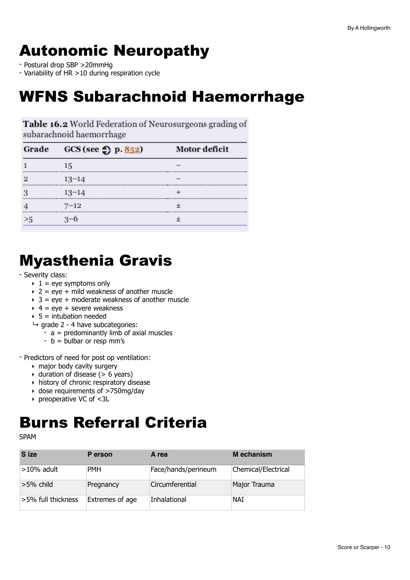# <span id="page-9-0"></span>Autonomic Neuropathy

- Postural drop SBP >20mmHg

- Variability of HR >10 during respiration cycle

## <span id="page-9-1"></span>WFNS Subarachnoid Haemorrhage

**Table 16.2** World Federation of Neurosurgeons grading of subarachnoid haemorrhage

| Grade | GCS (see $\bigcirc$ ) p. 852) | Motor deficit |
|-------|-------------------------------|---------------|
|       | 15                            |               |
|       | $13 - 14$                     |               |
|       | $13 - 14$                     |               |
|       | $7 - 12$                      |               |
|       |                               |               |

# <span id="page-9-2"></span>Myasthenia Gravis

#### - Severity class:

- $\rightarrow$  1 = eve symptoms only
- $\rightarrow$  2 = eye + mild weakness of another muscle
- $\rightarrow$  3 = eye + moderate weakness of another muscle
- $\rightarrow$  4 = eve + severe weakness
- $\rightarrow$  5 = intubation needed
- $\rightarrow$  grade 2 4 have subcategories:
	- $-$  a = predominantly limb of axial muscles
	- $-b =$  bulbar or resp mm's

- Predictors of need for post op ventilation:

- ‣ major body cavity surgery
- $\rightarrow$  duration of disease ( $> 6$  years)
- ‣ history of chronic respiratory disease
- ‣ dose requirements of >750mg/day
- ‣ preoperative VC of <3L

# <span id="page-9-3"></span>Burns Referral Criteria

SPAM

| S ize              | P erson         | A rea               | M echanism          |
|--------------------|-----------------|---------------------|---------------------|
| $>10\%$ adult      | <b>PMH</b>      | Face/hands/perineum | Chemical/Electrical |
| $>5\%$ child       | Pregnancy       | Circumferential     | Major Trauma        |
| >5% full thickness | Extremes of age | Inhalational        | NAI                 |